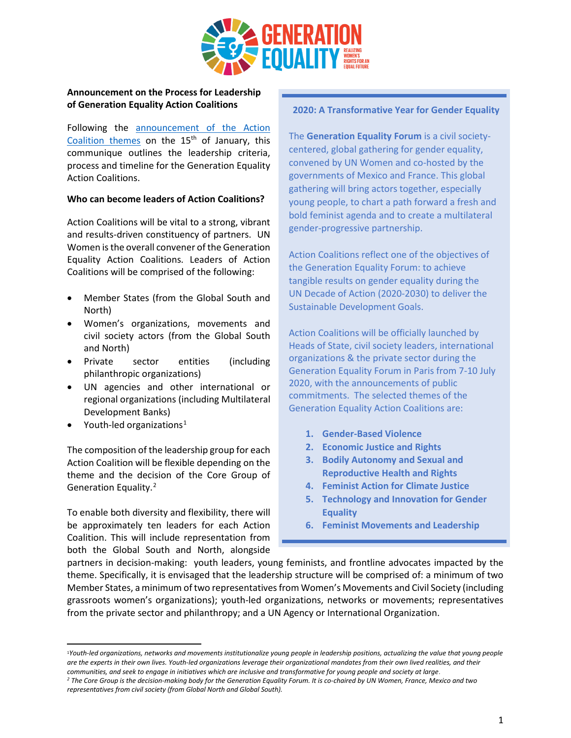

# **Announcement on the Process for Leadership of Generation Equality Action Coalitions**

Following the [announcement of the Action](https://www.unwomen.org/en/get-involved/beijing-plus-25/generation-equality-forum/action-coalitions)  [Coalition themes](https://www.unwomen.org/en/get-involved/beijing-plus-25/generation-equality-forum/action-coalitions) on the  $15<sup>th</sup>$  of January, this communique outlines the leadership criteria, process and timeline for the Generation Equality Action Coalitions.

#### **Who can become leaders of Action Coalitions?**

Action Coalitions will be vital to a strong, vibrant and results-driven constituency of partners. UN Women is the overall convener of the Generation Equality Action Coalitions. Leaders of Action Coalitions will be comprised of the following:

- Member States (from the Global South and North)
- Women's organizations, movements and civil society actors (from the Global South and North)
- Private sector entities (including philanthropic organizations)
- UN agencies and other international or regional organizations (including Multilateral Development Banks)
- Youth-led organizations<sup>[1](#page-0-0)</sup>

The composition of the leadership group for each Action Coalition will be flexible depending on the theme and the decision of the Core Group of Generation Equality.[2](#page-0-1)

To enable both diversity and flexibility, there will be approximately ten leaders for each Action Coalition. This will include representation from both the Global South and North, alongside

#### **2020: A Transformative Year for Gender Equality**

The **Generation Equality Forum** is a civil societycentered, global gathering for gender equality, convened by UN Women and co-hosted by the governments of Mexico and France. This global gathering will bring actors together, especially young people, to chart a path forward a fresh and bold feminist agenda and to create a multilateral gender-progressive partnership.

Action Coalitions reflect one of the objectives of the Generation Equality Forum: to achieve tangible results on gender equality during the UN Decade of Action (2020-2030) to deliver the Sustainable Development Goals.

Action Coalitions will be officially launched by Heads of State, civil society leaders, international organizations & the private sector during the Generation Equality Forum in Paris from 7-10 July 2020, with the announcements of public commitments. The selected themes of the Generation Equality Action Coalitions are:

- **1. Gender-Based Violence**
- **2. Economic Justice and Rights**
- **3. Bodily Autonomy and Sexual and Reproductive Health and Rights**
- **4. Feminist Action for Climate Justice**
- **5. Technology and Innovation for Gender Equality**
- **6. Feminist Movements and Leadership**

partners in decision-making: youth leaders, young feminists, and frontline advocates impacted by the theme. Specifically, it is envisaged that the leadership structure will be comprised of: a minimum of two Member States, a minimum of two representatives from Women's Movements and Civil Society (including grassroots women's organizations); youth-led organizations, networks or movements; representatives from the private sector and philanthropy; and a UN Agency or International Organization.

<span id="page-0-0"></span><sup>1</sup>*Youth-led organizations, networks and movements institutionalize young people in leadership positions, actualizing the value that young people are the experts in their own lives. Youth-led organizations leverage their organizational mandates from their own lived realities, and their communities, and seek to engage in initiatives which are inclusive and transformative for young people and society at large.*

<span id="page-0-1"></span>*<sup>2</sup> The Core Group is the decision-making body for the Generation Equality Forum. It is co-chaired by UN Women, France, Mexico and two representatives from civil society (from Global North and Global South).*